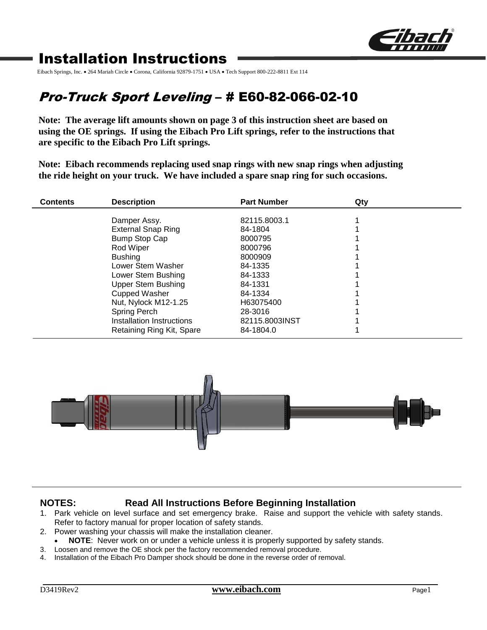

# Installation Instructions

Eibach Springs, Inc. • 264 Mariah Circle • Corona, California 92879-1751 • USA • Tech Support 800-222-8811 Ext 114

# Pro-Truck Sport Leveling – # E60-82-066-02-10

**Note: The average lift amounts shown on page 3 of this instruction sheet are based on using the OE springs. If using the Eibach Pro Lift springs, refer to the instructions that are specific to the Eibach Pro Lift springs.**

**Note: Eibach recommends replacing used snap rings with new snap rings when adjusting the ride height on your truck. We have included a spare snap ring for such occasions.**

| <b>Contents</b> | <b>Description</b>                        | <b>Part Number</b> | Qty |  |
|-----------------|-------------------------------------------|--------------------|-----|--|
|                 |                                           | 82115.8003.1       |     |  |
|                 | Damper Assy.<br><b>External Snap Ring</b> | 84-1804            |     |  |
|                 | Bump Stop Cap                             | 8000795            |     |  |
|                 | Rod Wiper                                 | 8000796            |     |  |
|                 | <b>Bushing</b>                            | 8000909            |     |  |
|                 | Lower Stem Washer                         | 84-1335            |     |  |
|                 | Lower Stem Bushing                        | 84-1333            |     |  |
|                 | <b>Upper Stem Bushing</b>                 | 84-1331            |     |  |
|                 | <b>Cupped Washer</b>                      | 84-1334            |     |  |
|                 | Nut, Nylock M12-1.25                      | H63075400          |     |  |
|                 | Spring Perch                              | 28-3016            |     |  |
|                 | Installation Instructions                 | 82115.8003INST     |     |  |
|                 | Retaining Ring Kit, Spare                 | 84-1804.0          |     |  |



### **NOTES: Read All Instructions Before Beginning Installation**

- 1. Park vehicle on level surface and set emergency brake. Raise and support the vehicle with safety stands. Refer to factory manual for proper location of safety stands.
- 2. Power washing your chassis will make the installation cleaner.
	- **NOTE**: Never work on or under a vehicle unless it is properly supported by safety stands.
- 3. Loosen and remove the OE shock per the factory recommended removal procedure.
- 4. Installation of the Eibach Pro Damper shock should be done in the reverse order of removal.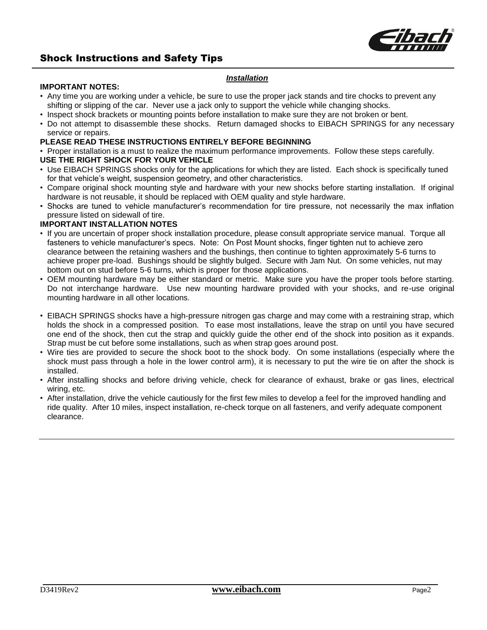

## Shock Instructions and Safety Tips

#### *Installation*

#### **IMPORTANT NOTES:**

- Any time you are working under a vehicle, be sure to use the proper jack stands and tire chocks to prevent any shifting or slipping of the car. Never use a jack only to support the vehicle while changing shocks.
- Inspect shock brackets or mounting points before installation to make sure they are not broken or bent.
- Do not attempt to disassemble these shocks. Return damaged shocks to EIBACH SPRINGS for any necessary service or repairs.

#### **PLEASE READ THESE INSTRUCTIONS ENTIRELY BEFORE BEGINNING**

• Proper installation is a must to realize the maximum performance improvements. Follow these steps carefully.

#### **USE THE RIGHT SHOCK FOR YOUR VEHICLE**

- Use EIBACH SPRINGS shocks only for the applications for which they are listed. Each shock is specifically tuned for that vehicle's weight, suspension geometry, and other characteristics.
- Compare original shock mounting style and hardware with your new shocks before starting installation. If original hardware is not reusable, it should be replaced with OEM quality and style hardware.
- Shocks are tuned to vehicle manufacturer's recommendation for tire pressure, not necessarily the max inflation pressure listed on sidewall of tire.

#### **IMPORTANT INSTALLATION NOTES**

- If you are uncertain of proper shock installation procedure, please consult appropriate service manual. Torque all fasteners to vehicle manufacturer's specs. Note: On Post Mount shocks, finger tighten nut to achieve zero clearance between the retaining washers and the bushings, then continue to tighten approximately 5-6 turns to achieve proper pre-load. Bushings should be slightly bulged. Secure with Jam Nut. On some vehicles, nut may bottom out on stud before 5-6 turns, which is proper for those applications.
- OEM mounting hardware may be either standard or metric. Make sure you have the proper tools before starting. Do not interchange hardware. Use new mounting hardware provided with your shocks, and re-use original mounting hardware in all other locations.
- EIBACH SPRINGS shocks have a high-pressure nitrogen gas charge and may come with a restraining strap, which holds the shock in a compressed position. To ease most installations, leave the strap on until you have secured one end of the shock, then cut the strap and quickly guide the other end of the shock into position as it expands. Strap must be cut before some installations, such as when strap goes around post.
- Wire ties are provided to secure the shock boot to the shock body. On some installations (especially where the shock must pass through a hole in the lower control arm), it is necessary to put the wire tie on after the shock is installed.
- After installing shocks and before driving vehicle, check for clearance of exhaust, brake or gas lines, electrical wiring, etc.
- After installation, drive the vehicle cautiously for the first few miles to develop a feel for the improved handling and ride quality. After 10 miles, inspect installation, re-check torque on all fasteners, and verify adequate component clearance.